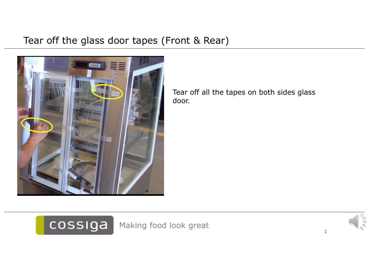#### Tear off the glass door tapes (Front & Rear)



Tear off all the tapes on both sides glass door.



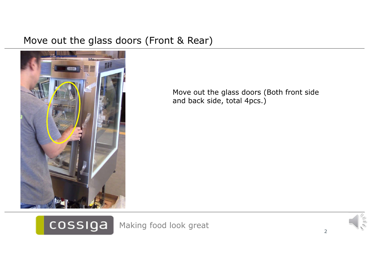#### Move out the glass doors (Front & Rear)



cossiga

Move out the glass doors (Both front side and back side, total 4pcs.)

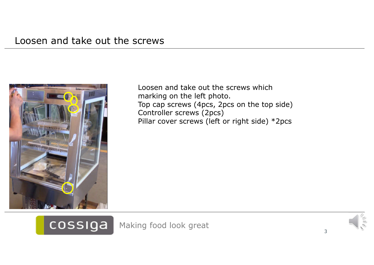

Loosen and take out the screws which marking on the left photo. Top cap screws (4pcs, 2pcs on the top side) Controller screws (2pcs) Pillar cover screws (left or right side) \*2pcs



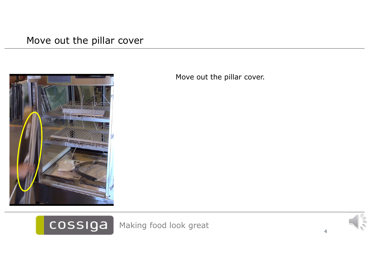#### Move out the pillar cover



Move out the pillar cover.

cossiga Making food look great 44

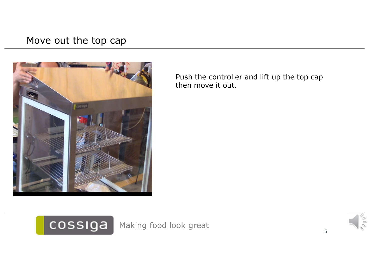#### Move out the top cap



cossiga

Push the controller and lift up the top cap then move it out.

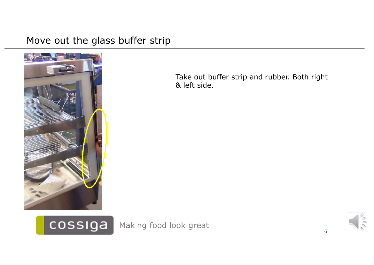#### Move out the glass buffer strip



cossiga

Take out buffer strip and rubber. Both right & left side.

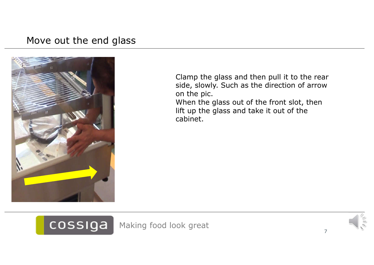#### Move out the end glass



cossiga

Clamp the glass and then pull it to the rear side, slowly. Such as the direction of arrow on the pic. When the glass out of the front slot, then lift up the glass and take it out of the cabinet.

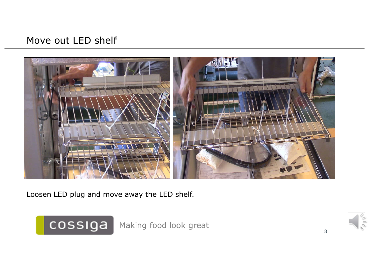#### Move out LED shelf



Loosen LED plug and move away the LED shelf.

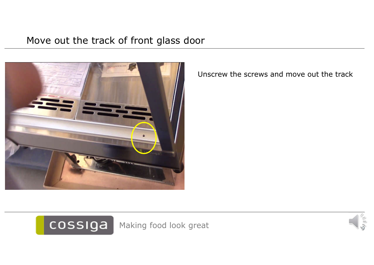#### Move out the track of front glass door



Unscrew the screws and move out the track



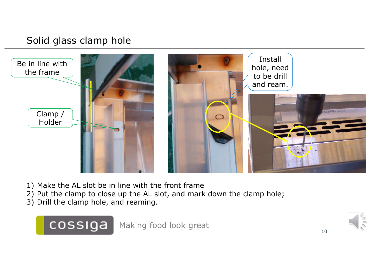### Solid glass clamp hole



- 1) Make the AL slot be in line with the front frame
- 2) Put the clamp to close up the AL slot, and mark down the clamp hole;
- 3) Drill the clamp hole, and reaming.

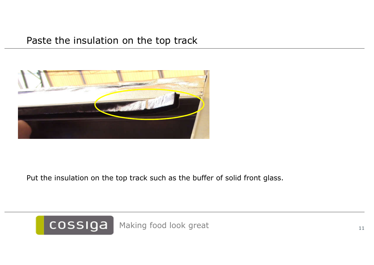#### Paste the insulation on the top track



Put the insulation on the top track such as the buffer of solid front glass.

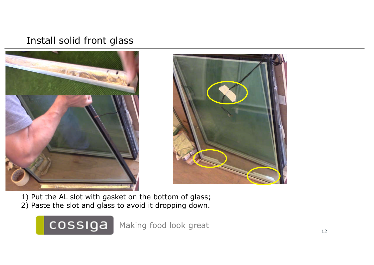#### Install solid front glass





1) Put the AL slot with gasket on the bottom of glass; 2) Paste the slot and glass to avoid it dropping down.

> cossiga Making food look great 12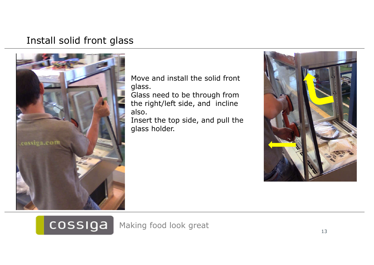#### Install solid front glass



Move and install the solid front glass.

Glass need to be through from the right/left side, and incline also.

Insert the top side, and pull the glass holder.



## cossiga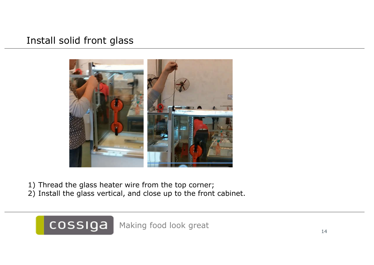#### Install solid front glass



- 1) Thread the glass heater wire from the top corner;
- 2) Install the glass vertical, and close up to the front cabinet.

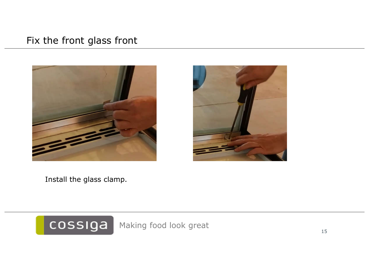#### Fix the front glass front





Install the glass clamp.

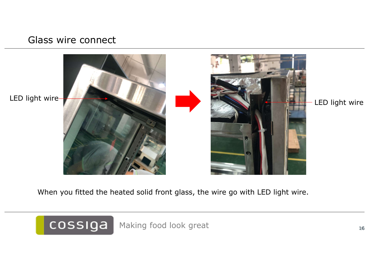#### Glass wire connect



When you fitted the heated solid front glass, the wire go with LED light wire.

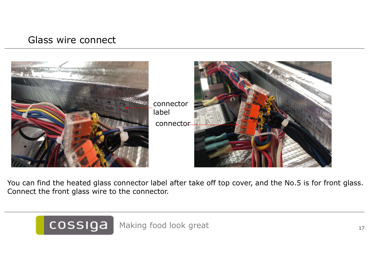#### Glass wire connect



You can find the heated glass connector label after take off top cover, and the No.5 is for front glass. Connect the front glass wire to the connector.